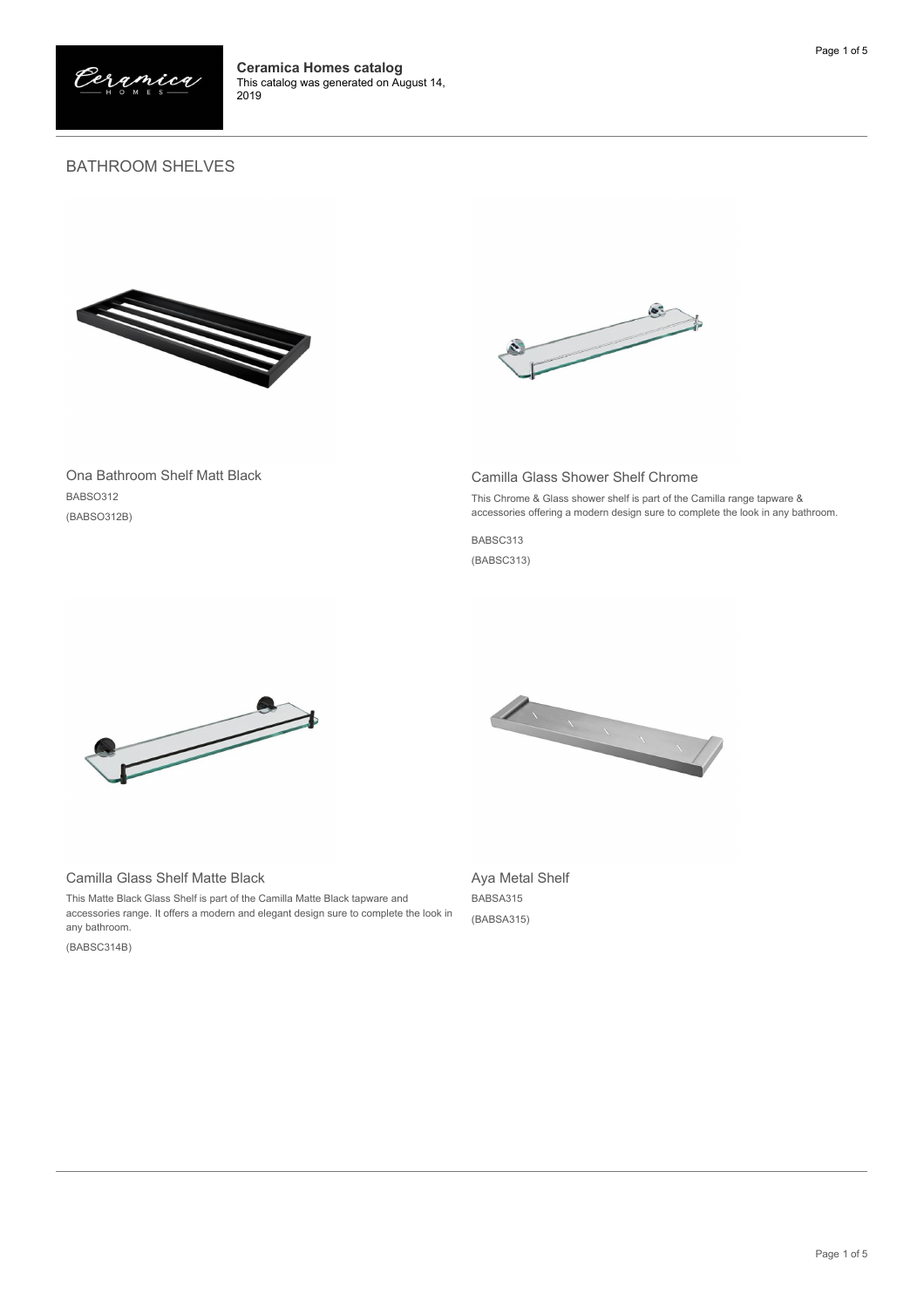

## BATHROOM SHELVES





Ona Bathroom Shelf Matt Black BABSO312 (BABSO312B)

## Camilla Glass Shower Shelf Chrome

This Chrome & Glass shower shelf is part of the Camilla range tapware & accessories offering a modern design sure to complete the look in any bathroom.

BABSC313

(BABSC313)



## Camilla Glass Shelf Matte Black

This Matte Black Glass Shelf is part of the Camilla Matte Black tapware and accessories range. It offers a modern and elegant design sure to complete the look in any bathroom.

(BABSC314B)



Aya Metal Shelf BABSA315 (BABSA315)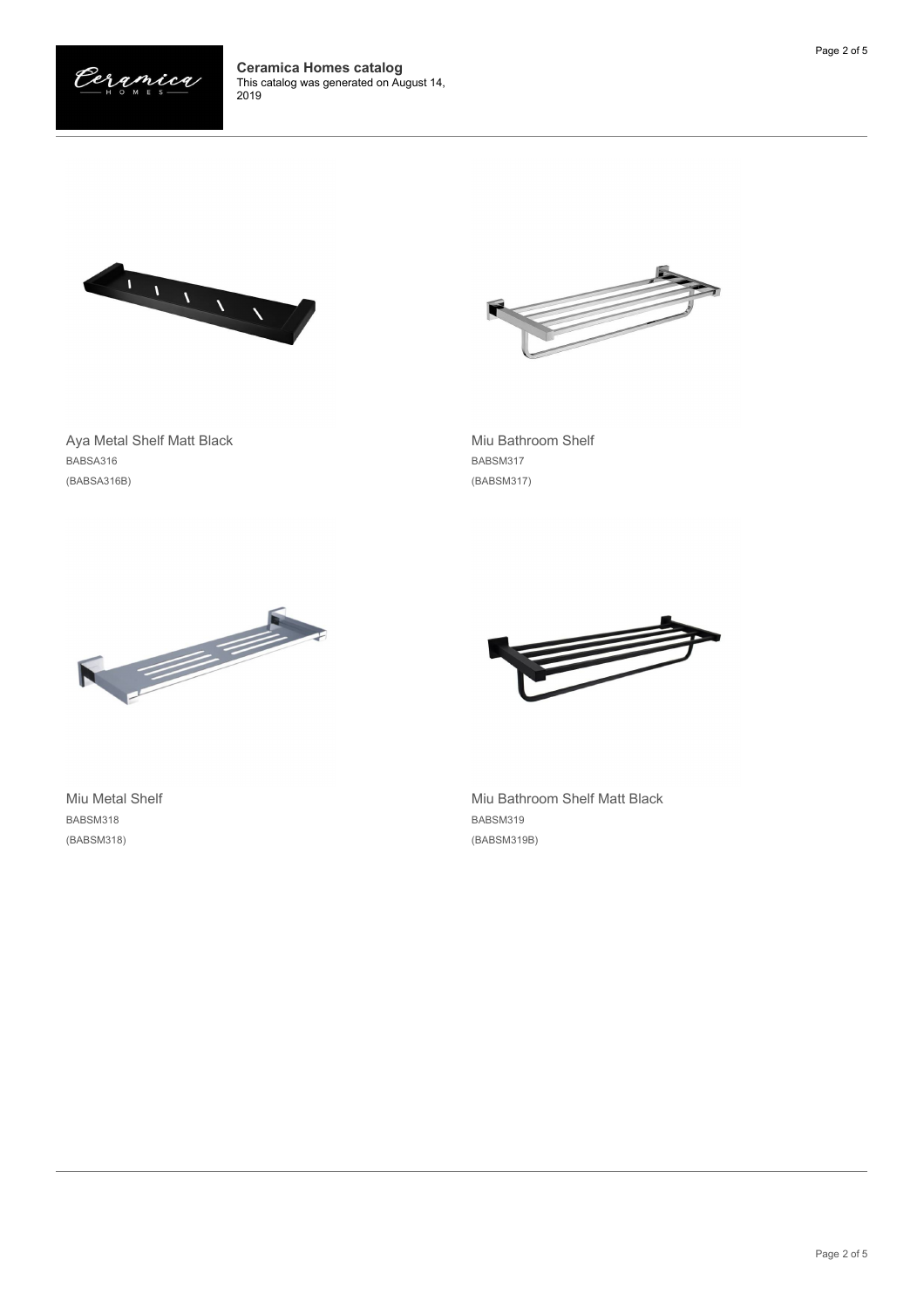





Aya Metal Shelf Matt Black BABSA316 (BABSA316B)

Miu Bathroom Shelf BABSM317 (BABSM317)



*⇒* 

Miu Metal Shelf BABSM318 (BABSM318)

Miu Bathroom Shelf Matt Black BABSM319 (BABSM319B)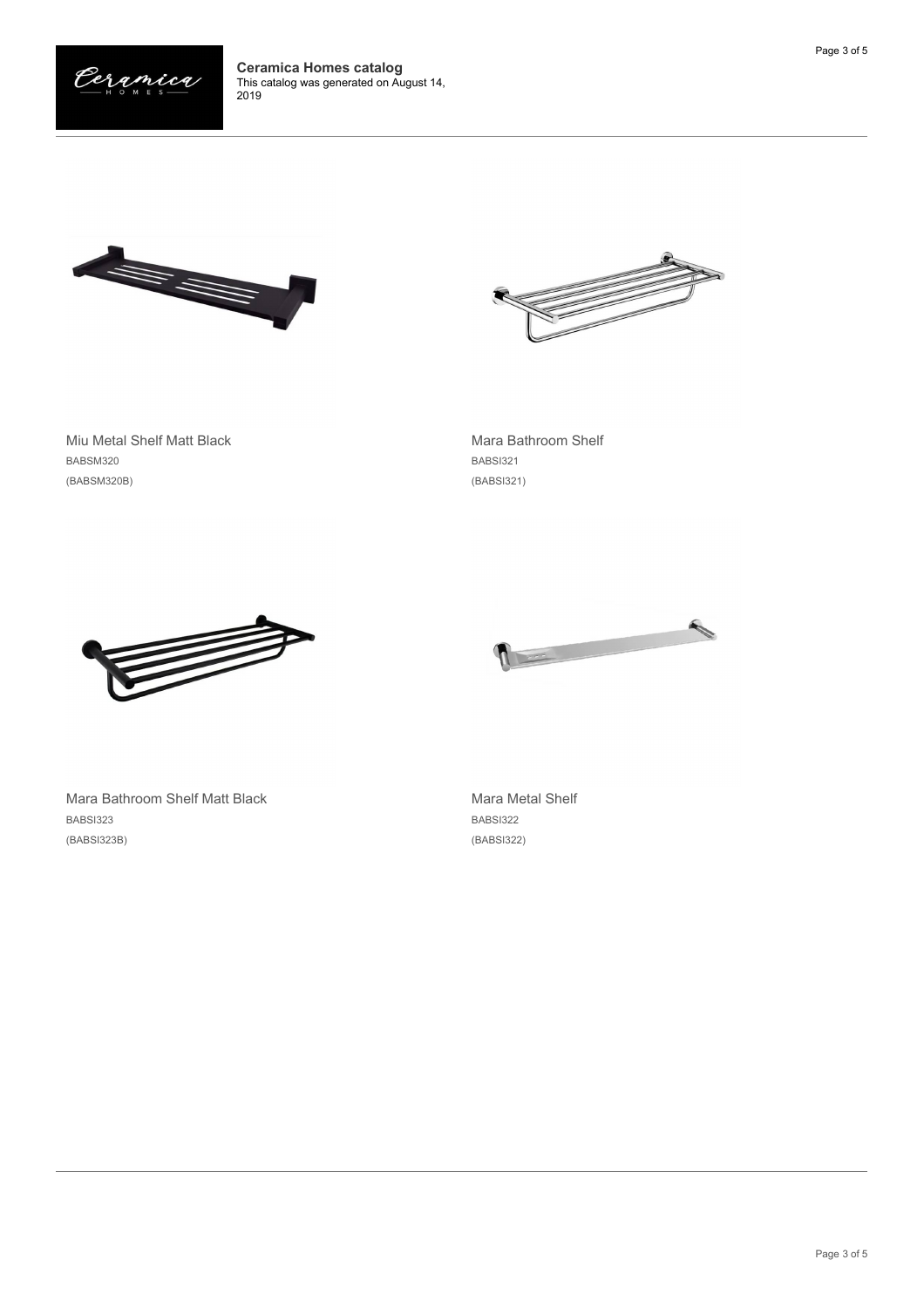





Miu Metal Shelf Matt Black BABSM320 (BABSM320B)

Mara Bathroom Shelf BABSI321 (BABSI321)





Mara Bathroom Shelf Matt Black BABSI323 (BABSI323B)

Mara Metal Shelf BABSI322 (BABSI322)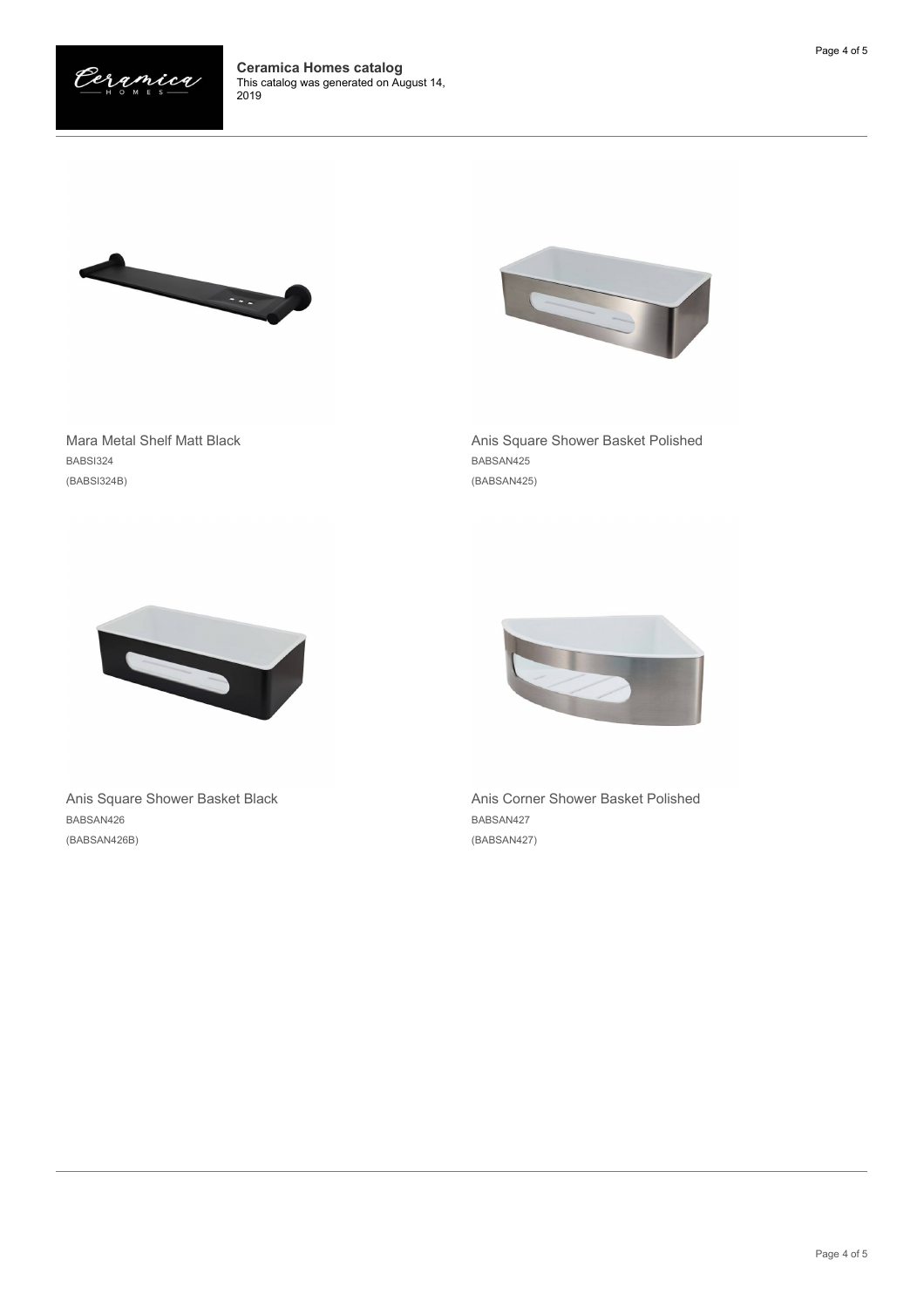





Mara Metal Shelf Matt Black BABSI324 (BABSI324B)

Anis Square Shower Basket Polished BABSAN425 (BABSAN425)



Anis Square Shower Basket Black BABSAN426 (BABSAN426B)



Anis Corner Shower Basket Polished BABSAN427 (BABSAN427)